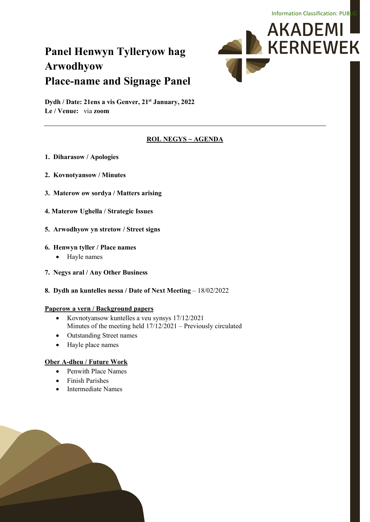# **Panel Henwyn Tylleryow hag Arwodhyow Place-name and Signage Panel**



**Dydh / Date: 21ens a vis Genver, 21st January, 2022 Le / Venue:** via **zoom**

#### **ROL NEGYS ~ AGENDA**

- **1. Diharasow / Apologies**
- **2. Kovnotyansow / Minutes**
- **3. Materow ow sordya / Matters arising**
- **4. Materow Ughella / Strategic Issues**
- **5. Arwodhyow yn stretow / Street signs**

#### **6. Henwyn tyller / Place names**

- Hayle names
- **7. Negys aral / Any Other Business**
- **8. Dydh an kuntelles nessa / Date of Next Meeting 18/02/2022**

#### **Paperow a vern / Background papers**

- Kovnotyansow kuntelles a veu synsys 17/12/2021 Minutes of the meeting held 17/12/2021 – Previously circulated
- Outstanding Street names
- Hayle place names

#### **Ober A-dheu / Future Work**

- Penwith Place Names
- Finish Parishes
- Intermediate Names

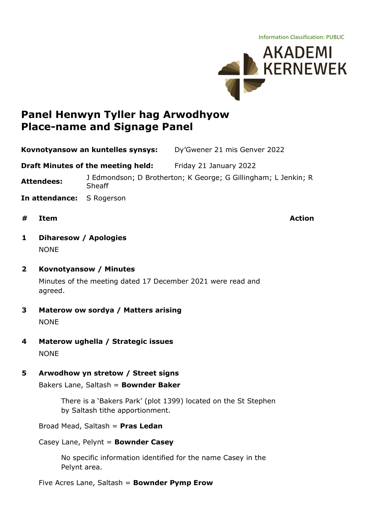Information Classification: PUBLIC



# **Panel Henwyn Tyller hag Arwodhyow Place-name and Signage Panel**

**Kovnotyansow an kuntelles synsys:** Dy'Gwener 21 mis Genver 2022

**Draft Minutes of the meeting held:** Friday 21 January 2022

**Attendees:** J Edmondson; D Brotherton; K George; G Gillingham; L Jenkin; <sup>R</sup> Sheaff

- **In attendance:** S Rogerson
- **# Item Action**

- **1 Diharesow / Apologies** NONE
- **2 Kovnotyansow / Minutes** Minutes of the meeting dated 17 December 2021 were read and agreed.
- **3 Materow ow sordya / Matters arising** NONE
- **4 Materow ughella / Strategic issues** NONE
- **5 Arwodhow yn stretow / Street signs**

Bakers Lane, Saltash = **Bownder Baker**

There is a 'Bakers Park' (plot 1399) located on the St Stephen by Saltash tithe apportionment.

Broad Mead, Saltash = **Pras Ledan**

#### Casey Lane, Pelynt = **Bownder Casey**

No specific information identified for the name Casey in the Pelynt area.

Five Acres Lane, Saltash = **Bownder Pymp Erow**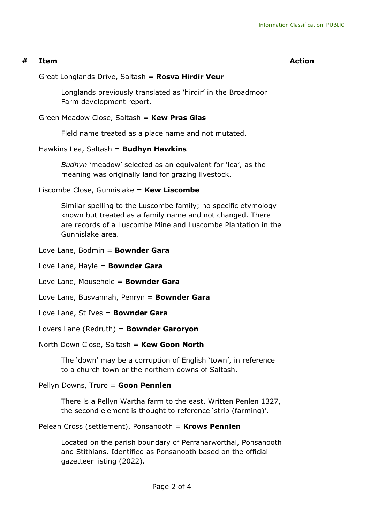#### **# Item Action**

#### Great Longlands Drive, Saltash = **Rosva Hirdir Veur**

Longlands previously translated as 'hirdir' in the Broadmoor Farm development report.

#### Green Meadow Close, Saltash = **Kew Pras Glas**

Field name treated as a place name and not mutated.

#### Hawkins Lea, Saltash = **Budhyn Hawkins**

*Budhyn* 'meadow' selected as an equivalent for 'lea', as the meaning was originally land for grazing livestock.

#### Liscombe Close, Gunnislake = **Kew Liscombe**

Similar spelling to the Luscombe family; no specific etymology known but treated as a family name and not changed. There are records of a Luscombe Mine and Luscombe Plantation in the Gunnislake area.

#### Love Lane, Bodmin = **Bownder Gara**

Love Lane, Hayle = **Bownder Gara**

Love Lane, Mousehole = **Bownder Gara**

Love Lane, Busvannah, Penryn = **Bownder Gara**

#### Love Lane, St Ives = **Bownder Gara**

#### Lovers Lane (Redruth) = **Bownder Garoryon**

#### North Down Close, Saltash = **Kew Goon North**

The 'down' may be a corruption of English 'town', in reference to a church town or the northern downs of Saltash.

Pellyn Downs, Truro = **Goon Pennlen**

There is a Pellyn Wartha farm to the east. Written Penlen 1327, the second element is thought to reference 'strip (farming)'.

Pelean Cross (settlement), Ponsanooth = **Krows Pennlen**

Located on the parish boundary of Perranarworthal, Ponsanooth and Stithians. Identified as Ponsanooth based on the official gazetteer listing (2022).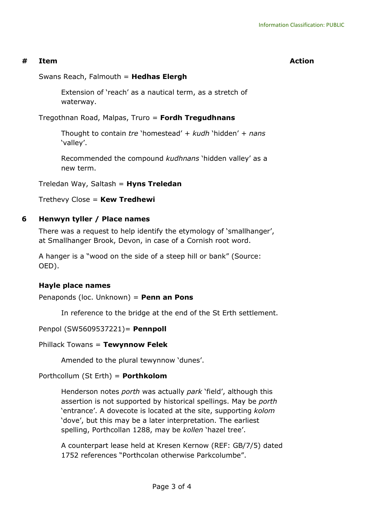#### **# Item Action**

Swans Reach, Falmouth = **Hedhas Elergh**

Extension of 'reach' as a nautical term, as a stretch of waterway.

Tregothnan Road, Malpas, Truro = **Fordh Tregudhnans**

Thought to contain *tre* 'homestead' + *kudh* 'hidden' + *nans* 'valley'.

Recommended the compound *kudhnans* 'hidden valley' as a new term.

Treledan Way, Saltash = **Hyns Treledan**

Trethevy Close = **Kew Tredhewi**

# **6 Henwyn tyller / Place names**

There was a request to help identify the etymology of 'smallhanger', at Smallhanger Brook, Devon, in case of a Cornish root word.

A hanger is a "wood on the side of a steep hill or bank" (Source: OED).

# **Hayle place names**

Penaponds (loc. Unknown) = **Penn an Pons**

In reference to the bridge at the end of the St Erth settlement.

# Penpol (SW5609537221)= **Pennpoll**

#### Phillack Towans = **Tewynnow Felek**

Amended to the plural tewynnow 'dunes'.

# Porthcollum (St Erth) = **Porthkolom**

Henderson notes *porth* was actually *park* 'field', although this assertion is not supported by historical spellings. May be *porth* 'entrance'. A dovecote is located at the site, supporting *kolom* 'dove', but this may be a later interpretation. The earliest spelling, Porthcollan 1288, may be *kollen* 'hazel tree'.

A counterpart lease held at Kresen Kernow (REF: GB/7/5) dated 1752 references "Porthcolan otherwise Parkcolumbe".